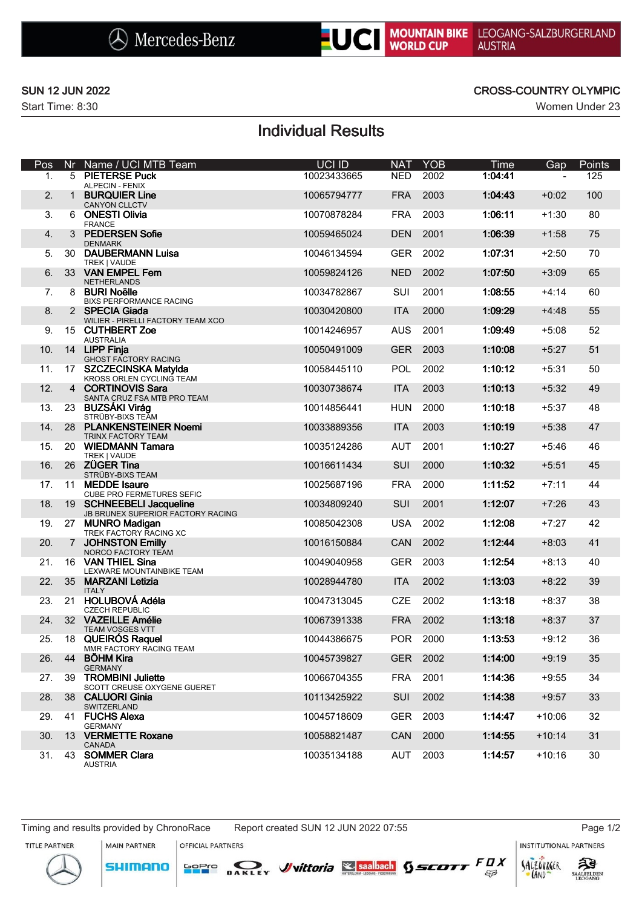Start Time: 8:30 Women Under 23

### SUN 12 JUN 2022 CROSS-COUNTRY OLYMPIC

# Individual Results

| Pos |                 | Nr Name / UCI MTB Team                                        | UCI ID      | <b>NAT</b> | <b>YOB</b> | Time    | Gap      | <b>Points</b> |
|-----|-----------------|---------------------------------------------------------------|-------------|------------|------------|---------|----------|---------------|
| 1.  |                 | 5 PIETERSE Puck<br><b>ALPECIN - FENIX</b>                     | 10023433665 | <b>NED</b> | 2002       | 1:04:41 |          | 125           |
| 2.  |                 | 1 BURQUIER Line                                               | 10065794777 | <b>FRA</b> | 2003       | 1:04:43 | $+0:02$  | 100           |
| 3.  |                 | <b>CANYON CLLCTV</b><br>6 ONESTI Olivia                       | 10070878284 | <b>FRA</b> | 2003       | 1:06:11 | $+1:30$  | 80            |
| 4.  |                 | <b>FRANCE</b><br>3 PEDERSEN Sofie                             | 10059465024 | <b>DEN</b> | 2001       | 1:06:39 | $+1:58$  | 75            |
|     |                 | <b>DENMARK</b>                                                |             |            |            |         |          |               |
| 5.  |                 | 30 DAUBERMANN Luisa<br>TREK   VAUDE                           | 10046134594 | <b>GER</b> | 2002       | 1:07:31 | $+2:50$  | 70            |
| 6.  |                 | 33 VAN EMPEL Fem<br><b>NETHERLANDS</b>                        | 10059824126 | <b>NED</b> | 2002       | 1:07:50 | $+3:09$  | 65            |
| 7.  |                 | 8 BURI Noëlle<br><b>BIXS PERFORMANCE RACING</b>               | 10034782867 | SUI        | 2001       | 1:08:55 | $+4:14$  | 60            |
| 8.  |                 | 2 SPECIA Giada<br>WILIER - PIRELLI FACTORY TEAM XCO           | 10030420800 | <b>ITA</b> | 2000       | 1:09:29 | $+4:48$  | 55            |
| 9.  |                 | 15 CUTHBERT Zoe                                               | 10014246957 | <b>AUS</b> | 2001       | 1:09:49 | $+5:08$  | 52            |
| 10. |                 | <b>AUSTRALIA</b><br>14 LIPP Finja                             | 10050491009 | <b>GER</b> | 2003       | 1:10:08 | $+5:27$  | 51            |
| 11. | 17 <sup>2</sup> | GHOST FACTORY RACING<br><b>SZCZECINSKA Matylda</b>            | 10058445110 | <b>POL</b> | 2002       | 1:10:12 | $+5:31$  | 50            |
| 12. |                 | KROSS ORLEN CYCLING TEAM<br>4 CORTINOVIS Sara                 | 10030738674 | <b>ITA</b> | 2003       | 1:10:13 | $+5:32$  | 49            |
|     |                 | SANTA CRUZ FSA MTB PRO TEAM                                   |             |            |            |         |          |               |
| 13. | 23              | <b>BUZSÁKI Virág</b><br>STRÜBY-BIXS TEAM                      | 10014856441 | <b>HUN</b> | 2000       | 1:10:18 | $+5:37$  | 48            |
| 14. |                 | 28 PLANKENSTEINER Noemi<br><b>TRINX FACTORY TEAM</b>          | 10033889356 | <b>ITA</b> | 2003       | 1:10:19 | $+5:38$  | 47            |
| 15. | 20              | <b>WIEDMANN Tamara</b><br>TREK   VAUDE                        | 10035124286 | <b>AUT</b> | 2001       | 1:10:27 | $+5:46$  | 46            |
| 16. |                 | 26 ZÜGER Tina<br>STRÜBY-BIXS TEAM                             | 10016611434 | SUI        | 2000       | 1:10:32 | $+5:51$  | 45            |
| 17. | 11              | <b>MEDDE</b> Isaure<br><b>CUBE PRO FERMETURES SEFIC</b>       | 10025687196 | <b>FRA</b> | 2000       | 1:11:52 | $+7:11$  | 44            |
| 18. |                 | 19 SCHNEEBELI Jacqueline<br>JB BRUNEX SUPERIOR FACTORY RACING | 10034809240 | SUI        | 2001       | 1:12:07 | $+7:26$  | 43            |
| 19. |                 | 27 MUNRO Madigan<br>TREK FACTORY RACING XC                    | 10085042308 | <b>USA</b> | 2002       | 1:12:08 | $+7:27$  | 42            |
| 20. |                 | 7 JOHNSTON Emilly                                             | 10016150884 | CAN        | 2002       | 1:12:44 | $+8:03$  | 41            |
| 21. |                 | NORCO FACTORY TEAM<br>16 VAN THIEL Sina                       | 10049040958 | <b>GER</b> | 2003       | 1:12:54 | $+8:13$  | 40            |
| 22. | 35 <sup>5</sup> | LEXWARE MOUNTAINBIKE TEAM<br><b>MARZANI Letizia</b>           | 10028944780 | <b>ITA</b> | 2002       | 1:13:03 | $+8:22$  | 39            |
| 23. | 21              | <b>ITALY</b><br><b>HOLUBOVÁ Adéla</b>                         | 10047313045 | <b>CZE</b> | 2002       | 1:13:18 | $+8:37$  | 38            |
| 24. |                 | <b>CZECH REPUBLIC</b><br>32 VAZEILLE Amélie                   | 10067391338 | <b>FRA</b> | 2002       | 1:13:18 | $+8:37$  | 37            |
|     |                 | <b>TEAM VOSGES VTT</b>                                        |             |            |            |         |          |               |
| 25. | 18              | <b>QUEIRÓS Raquel</b><br>MMR FACTORY RACING TEAM              | 10044386675 | <b>POR</b> | 2000       | 1:13:53 | $+9:12$  | 36            |
| 26. |                 | 44 BOHM Kira<br><b>GERMANY</b>                                | 10045739827 |            | GER 2002   | 1:14:00 | $+9:19$  | 35            |
| 27. |                 | 39 TROMBINI Juliette<br>SCOTT CREUSE OXYGENE GUERET           | 10066704355 |            | FRA 2001   | 1:14:36 | $+9:55$  | 34            |
| 28. |                 | 38 CALUORI Ginia<br><b>SWITZERLAND</b>                        | 10113425922 | <b>SUI</b> | 2002       | 1:14:38 | $+9:57$  | 33            |
| 29. |                 | 41 FUCHS Alexa<br><b>GERMANY</b>                              | 10045718609 |            | GER 2003   | 1:14:47 | $+10:06$ | 32            |
| 30. |                 | 13 VERMETTE Roxane<br><b>CANADA</b>                           | 10058821487 | CAN        | 2000       | 1:14:55 | $+10:14$ | 31            |
| 31. |                 | 43 SOMMER Clara<br><b>AUSTRIA</b>                             | 10035134188 | AUT        | 2003       | 1:14:57 | $+10:16$ | 30            |

Timing and results provided by ChronoRace Report created SUN 12 JUN 2022 07:55 Page 1/2

**MAIN PARTNER** 

**SHIMANO** 

OFFICIAL PARTNERS

**INSTITUTIONAL PARTNERS** 







 $53$